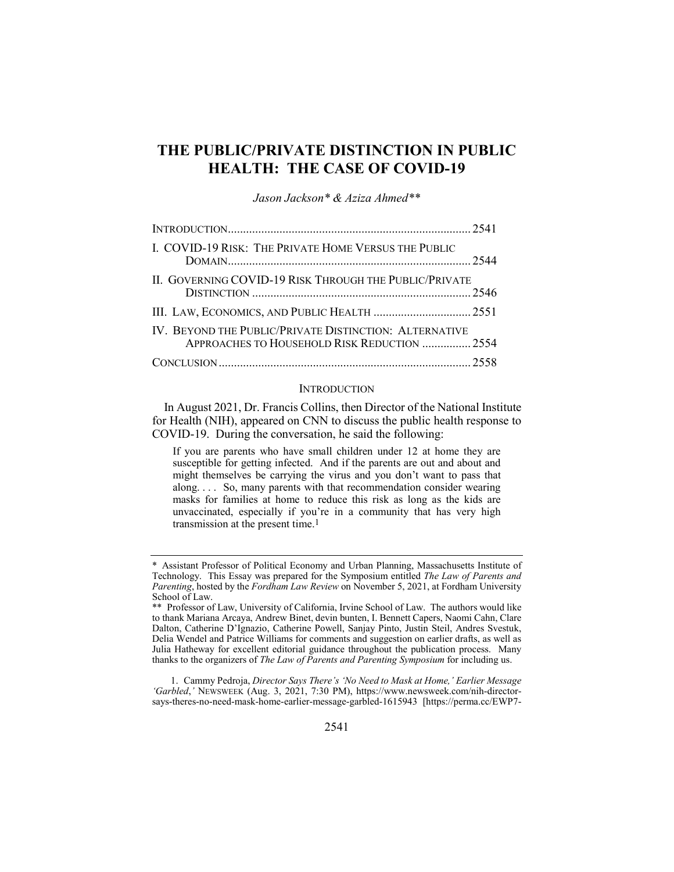# **THE PUBLIC/PRIVATE DISTINCTION IN PUBLIC HEALTH: THE CASE OF COVID-19**

*Jason Jackson\* & Aziza Ahmed\*\**

| I. COVID-19 RISK: THE PRIVATE HOME VERSUS THE PUBLIC                                                   |  |
|--------------------------------------------------------------------------------------------------------|--|
| II. GOVERNING COVID-19 RISK THROUGH THE PUBLIC/PRIVATE                                                 |  |
|                                                                                                        |  |
| IV. BEYOND THE PUBLIC/PRIVATE DISTINCTION: ALTERNATIVE<br>APPROACHES TO HOUSEHOLD RISK REDUCTION  2554 |  |
|                                                                                                        |  |

### **INTRODUCTION**

In August 2021, Dr. Francis Collins, then Director of the National Institute for Health (NIH), appeared on CNN to discuss the public health response to COVID-19. During the conversation, he said the following:

If you are parents who have small children under 12 at home they are susceptible for getting infected. And if the parents are out and about and might themselves be carrying the virus and you don't want to pass that along. . . . So, many parents with that recommendation consider wearing masks for families at home to reduce this risk as long as the kids are unvaccinated, especially if you're in a community that has very high transmission at the present time.1

1. Cammy Pedroja, *Director Says There's 'No Need to Mask at Home,' Earlier Message 'Garbled*,*'* NEWSWEEK (Aug. 3, 2021, 7:30 PM), https://www.newsweek.com/nih-directorsays-theres-no-need-mask-home-earlier-message-garbled-1615943 [https://perma.cc/EWP7-

<sup>\*</sup> Assistant Professor of Political Economy and Urban Planning, Massachusetts Institute of Technology. This Essay was prepared for the Symposium entitled *The Law of Parents and Parenting*, hosted by the *Fordham Law Review* on November 5, 2021, at Fordham University School of Law.

<sup>\*\*</sup> Professor of Law, University of California, Irvine School of Law. The authors would like to thank Mariana Arcaya, Andrew Binet, devin bunten, I. Bennett Capers, Naomi Cahn, Clare Dalton, Catherine D'Ignazio, Catherine Powell, Sanjay Pinto, Justin Steil, Andres Svestuk, Delia Wendel and Patrice Williams for comments and suggestion on earlier drafts, as well as Julia Hatheway for excellent editorial guidance throughout the publication process. Many thanks to the organizers of *The Law of Parents and Parenting Symposium* for including us.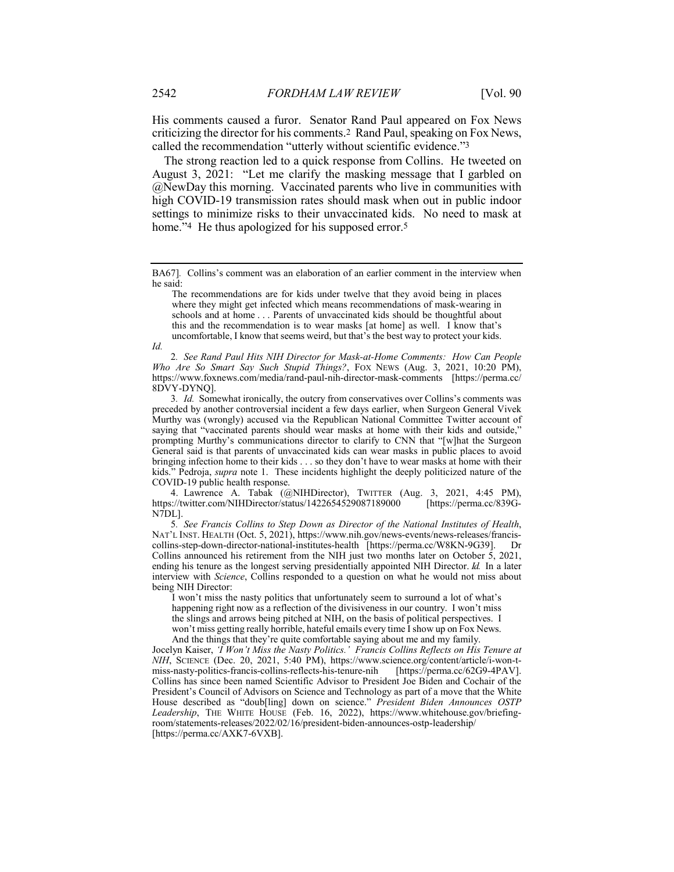His comments caused a furor. Senator Rand Paul appeared on Fox News criticizing the director for his comments.2 Rand Paul, speaking on Fox News, called the recommendation "utterly without scientific evidence."3

The strong reaction led to a quick response from Collins. He tweeted on August 3, 2021: "Let me clarify the masking message that I garbled on @NewDay this morning. Vaccinated parents who live in communities with high COVID-19 transmission rates should mask when out in public indoor settings to minimize risks to their unvaccinated kids. No need to mask at home."<sup>4</sup> He thus apologized for his supposed error.<sup>5</sup>

2*. See Rand Paul Hits NIH Director for Mask-at-Home Comments: How Can People Who Are So Smart Say Such Stupid Things?*, FOX NEWS (Aug. 3, 2021, 10:20 PM), https://www.foxnews.com/media/rand-paul-nih-director-mask-comments [https://perma.cc/ 8DVY-DYNQ].

3*. Id.* Somewhat ironically, the outcry from conservatives over Collins's comments was preceded by another controversial incident a few days earlier, when Surgeon General Vivek Murthy was (wrongly) accused via the Republican National Committee Twitter account of saying that "vaccinated parents should wear masks at home with their kids and outside," prompting Murthy's communications director to clarify to CNN that "[w]hat the Surgeon General said is that parents of unvaccinated kids can wear masks in public places to avoid bringing infection home to their kids . . . so they don't have to wear masks at home with their kids." Pedroja, *supra* note 1. These incidents highlight the deeply politicized nature of the COVID-19 public health response.

4. Lawrence A. Tabak (@NIHDirector), TWITTER (Aug. 3, 2021, 4:45 PM),<br>:://twitter.com/NIHDirector/status/1422654529087189000 [https://perma.cc/839Ghttps://twitter.com/NIHDirector/status/1422654529087189000 N7DL].

5*. See Francis Collins to Step Down as Director of the National Institutes of Health*, NAT'L INST. HEALTH (Oct. 5, 2021), https://www.nih.gov/news-events/news-releases/franciscollins-step-down-director-national-institutes-health [https://perma.cc/W8KN-9G39]. Dr Collins announced his retirement from the NIH just two months later on October 5, 2021, ending his tenure as the longest serving presidentially appointed NIH Director. *Id.* In a later interview with *Science*, Collins responded to a question on what he would not miss about being NIH Director:

I won't miss the nasty politics that unfortunately seem to surround a lot of what's happening right now as a reflection of the divisiveness in our country. I won't miss the slings and arrows being pitched at NIH, on the basis of political perspectives. I won't miss getting really horrible, hateful emails every time I show up on Fox News. And the things that they're quite comfortable saying about me and my family.

Jocelyn Kaiser, *'I Won't Miss the Nasty Politics.' Francis Collins Reflects on His Tenure at NIH*, SCIENCE (Dec. 20, 2021, 5:40 PM), https://www.science.org/content/article/i-won-t-<br>miss-nasty-politics-francis-collins-reflects-his-tenure-nih [https://perma.cc/62G9-4PAV]. miss-nasty-politics-francis-collins-reflects-his-tenure-nih Collins has since been named Scientific Advisor to President Joe Biden and Cochair of the President's Council of Advisors on Science and Technology as part of a move that the White House described as "doub[ling] down on science." *President Biden Announces OSTP Leadership*, THE WHITE HOUSE (Feb. 16, 2022), https://www.whitehouse.gov/briefingroom/statements-releases/2022/02/16/president-biden-announces-ostp-leadership/ [https://perma.cc/AXK7-6VXB].

BA67]*.* Collins's comment was an elaboration of an earlier comment in the interview when he said:

The recommendations are for kids under twelve that they avoid being in places where they might get infected which means recommendations of mask-wearing in schools and at home . . . Parents of unvaccinated kids should be thoughtful about this and the recommendation is to wear masks [at home] as well. I know that's uncomfortable, I know that seems weird, but that's the best way to protect your kids.

*Id.*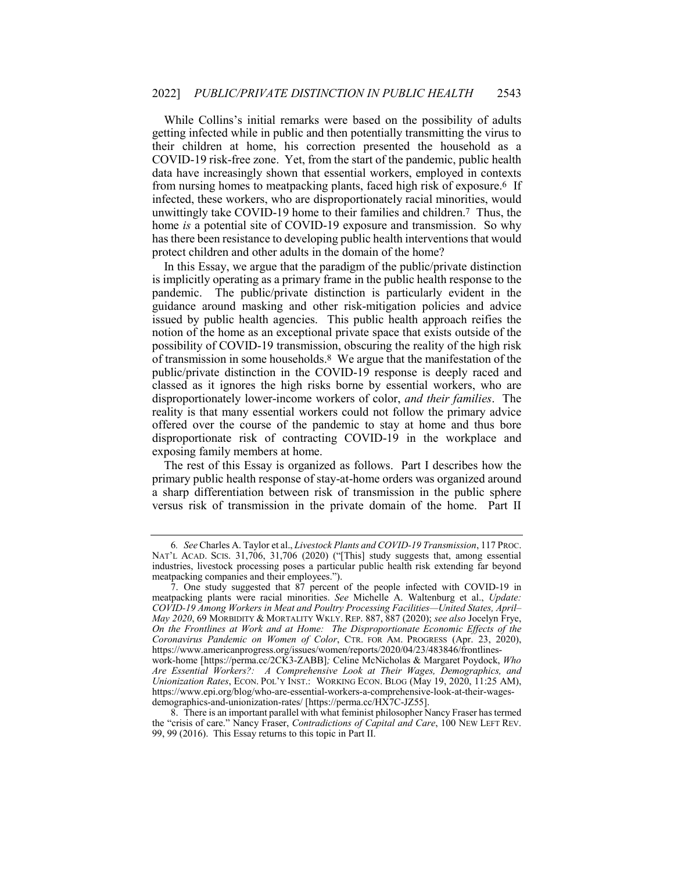While Collins's initial remarks were based on the possibility of adults getting infected while in public and then potentially transmitting the virus to their children at home, his correction presented the household as a COVID-19 risk-free zone. Yet, from the start of the pandemic, public health data have increasingly shown that essential workers, employed in contexts from nursing homes to meatpacking plants, faced high risk of exposure.6 If infected, these workers, who are disproportionately racial minorities, would unwittingly take COVID-19 home to their families and children.7 Thus, the home *is* a potential site of COVID-19 exposure and transmission. So why has there been resistance to developing public health interventions that would protect children and other adults in the domain of the home?

In this Essay, we argue that the paradigm of the public/private distinction is implicitly operating as a primary frame in the public health response to the pandemic. The public/private distinction is particularly evident in the guidance around masking and other risk-mitigation policies and advice issued by public health agencies. This public health approach reifies the notion of the home as an exceptional private space that exists outside of the possibility of COVID-19 transmission, obscuring the reality of the high risk of transmission in some households.8 We argue that the manifestation of the public/private distinction in the COVID-19 response is deeply raced and classed as it ignores the high risks borne by essential workers, who are disproportionately lower-income workers of color, *and their families*. The reality is that many essential workers could not follow the primary advice offered over the course of the pandemic to stay at home and thus bore disproportionate risk of contracting COVID-19 in the workplace and exposing family members at home.

The rest of this Essay is organized as follows. Part I describes how the primary public health response of stay-at-home orders was organized around a sharp differentiation between risk of transmission in the public sphere versus risk of transmission in the private domain of the home. Part II

<sup>6</sup>*. See* Charles A. Taylor et al., *Livestock Plants and COVID-19 Transmission*, 117 PROC. NAT'L ACAD. SCIS. 31,706, 31,706 (2020) ("[This] study suggests that, among essential industries, livestock processing poses a particular public health risk extending far beyond meatpacking companies and their employees.").

<sup>7.</sup> One study suggested that 87 percent of the people infected with COVID-19 in meatpacking plants were racial minorities. *See* Michelle A. Waltenburg et al., *Update: COVID-19 Among Workers in Meat and Poultry Processing Facilities—United States, April– May 2020*, 69 MORBIDITY & MORTALITY WKLY. REP. 887, 887 (2020); *see also* Jocelyn Frye, *On the Frontlines at Work and at Home: The Disproportionate Economic Effects of the Coronavirus Pandemic on Women of Color*, CTR. FOR AM. PROGRESS (Apr. 23, 2020), https://www.americanprogress.org/issues/women/reports/2020/04/23/483846/frontlines-

work-home [https://perma.cc/2CK3-ZABB]*;* Celine McNicholas & Margaret Poydock, *Who Are Essential Workers?: A Comprehensive Look at Their Wages, Demographics, and Unionization Rates*, ECON. POL'Y INST.: WORKING ECON. BLOG (May 19, 2020, 11:25 AM), https://www.epi.org/blog/who-are-essential-workers-a-comprehensive-look-at-their-wagesdemographics-and-unionization-rates/ [https://perma.cc/HX7C-JZ55].

<sup>8.</sup> There is an important parallel with what feminist philosopher Nancy Fraser has termed the "crisis of care." Nancy Fraser, *Contradictions of Capital and Care*, 100 NEW LEFT REV. 99, 99 (2016). This Essay returns to this topic in Part II.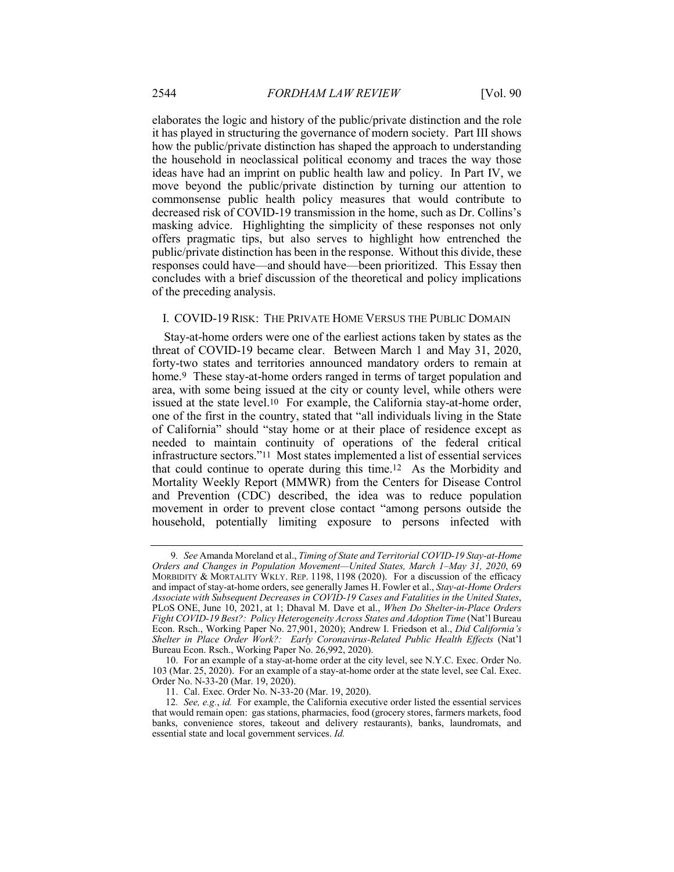elaborates the logic and history of the public/private distinction and the role it has played in structuring the governance of modern society. Part III shows how the public/private distinction has shaped the approach to understanding the household in neoclassical political economy and traces the way those ideas have had an imprint on public health law and policy. In Part IV, we move beyond the public/private distinction by turning our attention to commonsense public health policy measures that would contribute to decreased risk of COVID-19 transmission in the home, such as Dr. Collins's masking advice. Highlighting the simplicity of these responses not only offers pragmatic tips, but also serves to highlight how entrenched the public/private distinction has been in the response. Without this divide, these responses could have—and should have—been prioritized. This Essay then concludes with a brief discussion of the theoretical and policy implications of the preceding analysis.

### I. COVID-19 RISK: THE PRIVATE HOME VERSUS THE PUBLIC DOMAIN

Stay-at-home orders were one of the earliest actions taken by states as the threat of COVID-19 became clear. Between March 1 and May 31, 2020, forty-two states and territories announced mandatory orders to remain at home.<sup>9</sup> These stay-at-home orders ranged in terms of target population and area, with some being issued at the city or county level, while others were issued at the state level.10 For example, the California stay-at-home order, one of the first in the country, stated that "all individuals living in the State of California" should "stay home or at their place of residence except as needed to maintain continuity of operations of the federal critical infrastructure sectors."11 Most states implemented a list of essential services that could continue to operate during this time.12 As the Morbidity and Mortality Weekly Report (MMWR) from the Centers for Disease Control and Prevention (CDC) described, the idea was to reduce population movement in order to prevent close contact "among persons outside the household, potentially limiting exposure to persons infected with

<sup>9</sup>*. See* Amanda Moreland et al., *Timing of State and Territorial COVID-19 Stay-at-Home Orders and Changes in Population Movement—United States, March 1–May 31, 2020*, 69 MORBIDITY & MORTALITY WKLY. REP. 1198, 1198 (2020). For a discussion of the efficacy and impact of stay-at-home orders, see generally James H. Fowler et al., *Stay-at-Home Orders Associate with Subsequent Decreases in COVID-19 Cases and Fatalities in the United States*, PLOS ONE, June 10, 2021, at 1; Dhaval M. Dave et al., *When Do Shelter-in-Place Orders Fight COVID-19 Best?: Policy Heterogeneity Across States and Adoption Time* (Nat'l Bureau Econ. Rsch., Working Paper No. 27,901, 2020); Andrew I. Friedson et al., *Did California's Shelter in Place Order Work?: Early Coronavirus-Related Public Health Effects* (Nat'l Bureau Econ. Rsch., Working Paper No. 26,992, 2020).

<sup>10.</sup> For an example of a stay-at-home order at the city level, see N.Y.C. Exec. Order No. 103 (Mar. 25, 2020). For an example of a stay-at-home order at the state level, see Cal. Exec. Order No. N-33-20 (Mar. 19, 2020).

<sup>11.</sup> Cal. Exec. Order No. N-33-20 (Mar. 19, 2020).

<sup>12</sup>*. See, e.g.*, *id.* For example, the California executive order listed the essential services that would remain open: gas stations, pharmacies, food (grocery stores, farmers markets, food banks, convenience stores, takeout and delivery restaurants), banks, laundromats, and essential state and local government services. *Id.*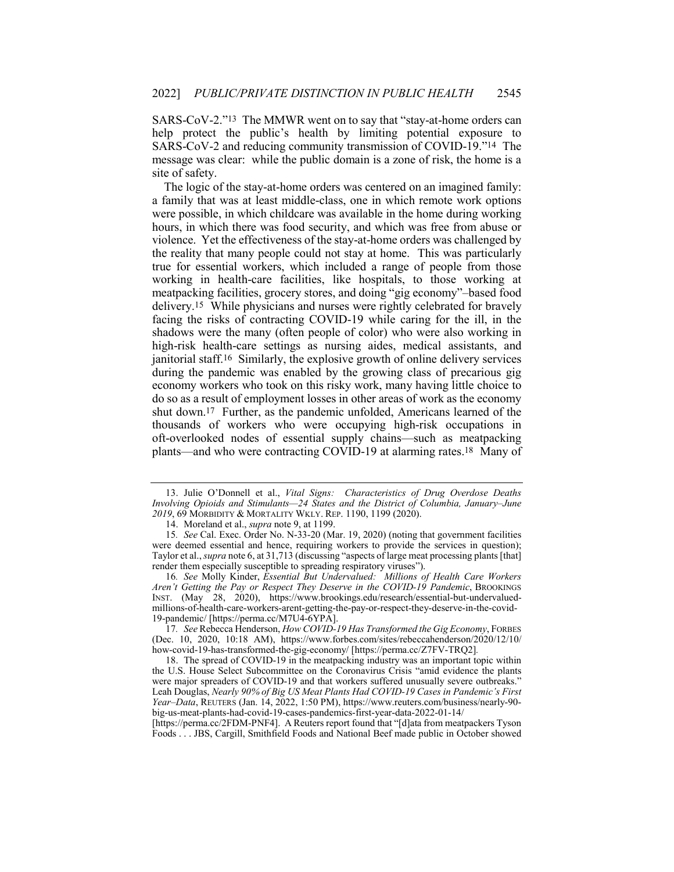SARS-CoV-2."13 The MMWR went on to say that "stay-at-home orders can help protect the public's health by limiting potential exposure to SARS-CoV-2 and reducing community transmission of COVID-19."14 The message was clear: while the public domain is a zone of risk, the home is a site of safety.

The logic of the stay-at-home orders was centered on an imagined family: a family that was at least middle-class, one in which remote work options were possible, in which childcare was available in the home during working hours, in which there was food security, and which was free from abuse or violence. Yet the effectiveness of the stay-at-home orders was challenged by the reality that many people could not stay at home. This was particularly true for essential workers, which included a range of people from those working in health-care facilities, like hospitals, to those working at meatpacking facilities, grocery stores, and doing "gig economy"–based food delivery.15 While physicians and nurses were rightly celebrated for bravely facing the risks of contracting COVID-19 while caring for the ill, in the shadows were the many (often people of color) who were also working in high-risk health-care settings as nursing aides, medical assistants, and janitorial staff.16 Similarly, the explosive growth of online delivery services during the pandemic was enabled by the growing class of precarious gig economy workers who took on this risky work, many having little choice to do so as a result of employment losses in other areas of work as the economy shut down.17 Further, as the pandemic unfolded, Americans learned of the thousands of workers who were occupying high-risk occupations in oft-overlooked nodes of essential supply chains—such as meatpacking plants—and who were contracting COVID-19 at alarming rates.18 Many of

<sup>13.</sup> Julie O'Donnell et al., *Vital Signs: Characteristics of Drug Overdose Deaths Involving Opioids and Stimulants—24 States and the District of Columbia, January–June 2019*, 69 MORBIDITY & MORTALITY WKLY. REP. 1190, 1199 (2020).

<sup>14.</sup> Moreland et al., *supra* note 9, at 1199.

<sup>15</sup>*. See* Cal. Exec. Order No. N-33-20 (Mar. 19, 2020) (noting that government facilities were deemed essential and hence, requiring workers to provide the services in question); Taylor et al., *supra* note 6, at 31,713 (discussing "aspects of large meat processing plants [that] render them especially susceptible to spreading respiratory viruses").

<sup>16</sup>*. See* Molly Kinder, *Essential But Undervalued: Millions of Health Care Workers Aren't Getting the Pay or Respect They Deserve in the COVID-19 Pandemic*, BROOKINGS INST. (May 28, 2020), https://www.brookings.edu/research/essential-but-undervaluedmillions-of-health-care-workers-arent-getting-the-pay-or-respect-they-deserve-in-the-covid-19-pandemic/ [https://perma.cc/M7U4-6YPA].

<sup>17</sup>*. See* Rebecca Henderson, *How COVID-19 Has Transformed the Gig Economy*, FORBES (Dec. 10, 2020, 10:18 AM), https://www.forbes.com/sites/rebeccahenderson/2020/12/10/ how-covid-19-has-transformed-the-gig-economy/ [https://perma.cc/Z7FV-TRQ2]*.*

<sup>18.</sup> The spread of COVID-19 in the meatpacking industry was an important topic within the U.S. House Select Subcommittee on the Coronavirus Crisis "amid evidence the plants were major spreaders of COVID-19 and that workers suffered unusually severe outbreaks." Leah Douglas, *Nearly 90% of Big US Meat Plants Had COVID-19 Cases in Pandemic's First Year–Data*, REUTERS (Jan. 14, 2022, 1:50 PM), https://www.reuters.com/business/nearly-90 big-us-meat-plants-had-covid-19-cases-pandemics-first-year-data-2022-01-14/

<sup>[</sup>https://perma.cc/2FDM-PNF4]. A Reuters report found that "[d]ata from meatpackers Tyson Foods . . . JBS, Cargill, Smithfield Foods and National Beef made public in October showed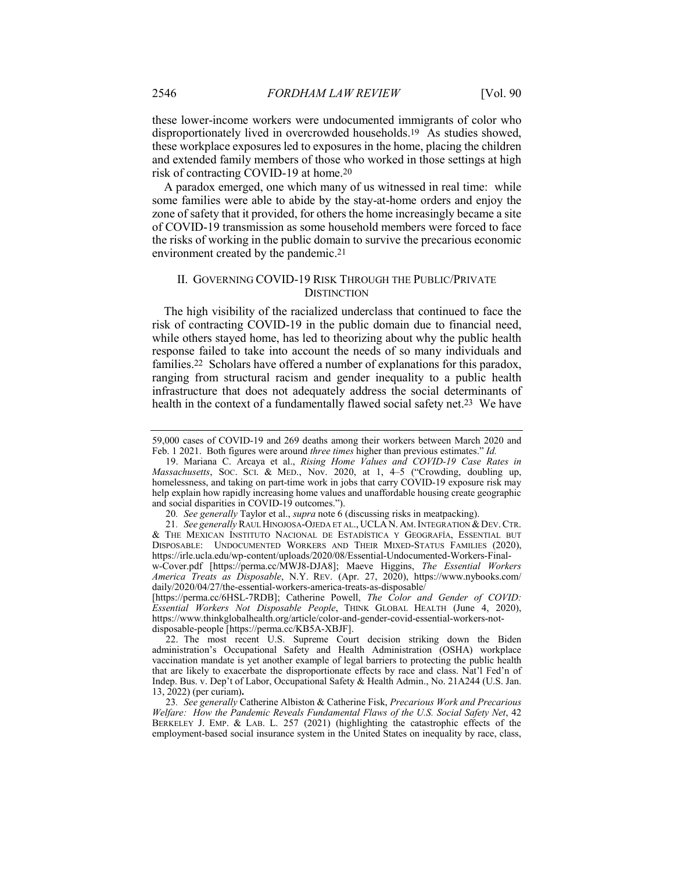these lower-income workers were undocumented immigrants of color who disproportionately lived in overcrowded households.19 As studies showed, these workplace exposures led to exposures in the home, placing the children and extended family members of those who worked in those settings at high risk of contracting COVID-19 at home.20

A paradox emerged, one which many of us witnessed in real time: while some families were able to abide by the stay-at-home orders and enjoy the zone of safety that it provided, for others the home increasingly became a site of COVID-19 transmission as some household members were forced to face the risks of working in the public domain to survive the precarious economic environment created by the pandemic.21

# II. GOVERNING COVID-19 RISK THROUGH THE PUBLIC/PRIVATE **DISTINCTION**

The high visibility of the racialized underclass that continued to face the risk of contracting COVID-19 in the public domain due to financial need, while others stayed home, has led to theorizing about why the public health response failed to take into account the needs of so many individuals and families.22 Scholars have offered a number of explanations for this paradox, ranging from structural racism and gender inequality to a public health infrastructure that does not adequately address the social determinants of health in the context of a fundamentally flawed social safety net.23 We have

*America Treats as Disposable*, N.Y. REV. (Apr. 27, 2020), https://www.nybooks.com/ daily/2020/04/27/the-essential-workers-america-treats-as-disposable/

[https://perma.cc/6HSL-7RDB]; Catherine Powell, *The Color and Gender of COVID: Essential Workers Not Disposable People*, THINK GLOBAL HEALTH (June 4, 2020), https://www.thinkglobalhealth.org/article/color-and-gender-covid-essential-workers-notdisposable-people [https://perma.cc/KB5A-XBJF].

22. The most recent U.S. Supreme Court decision striking down the Biden administration's Occupational Safety and Health Administration (OSHA) workplace vaccination mandate is yet another example of legal barriers to protecting the public health that are likely to exacerbate the disproportionate effects by race and class. Nat'l Fed'n of Indep. Bus. v. Dep't of Labor, Occupational Safety & Health Admin., No. 21A244 (U.S. Jan. 13, 2022) (per curiam)**.**

23*. See generally* Catherine Albiston & Catherine Fisk, *Precarious Work and Precarious Welfare: How the Pandemic Reveals Fundamental Flaws of the U.S. Social Safety Net*, 42 BERKELEY J. EMP. & LAB. L. 257 (2021) (highlighting the catastrophic effects of the employment-based social insurance system in the United States on inequality by race, class,

<sup>59,000</sup> cases of COVID-19 and 269 deaths among their workers between March 2020 and Feb. 1 2021. Both figures were around *three times* higher than previous estimates." *Id.*

<sup>19.</sup> Mariana C. Arcaya et al., *Rising Home Values and COVID-19 Case Rates in Massachusetts*, SOC. SCI. & MED., Nov. 2020, at 1, 4–5 ("Crowding, doubling up, homelessness, and taking on part-time work in jobs that carry COVID-19 exposure risk may help explain how rapidly increasing home values and unaffordable housing create geographic and social disparities in COVID-19 outcomes.").

<sup>20</sup>*. See generally* Taylor et al., *supra* note 6 (discussing risks in meatpacking).

<sup>21.</sup> See generally RAUL HINOJOSA-OJEDA ET AL., UCLAN. AM. INTEGRATION & DEV. CTR. & THE MEXICAN INSTITUTO NACIONAL DE ESTADÍSTICA Y GEOGRAFÍA, ESSENTIAL BUT DISPOSABLE: UNDOCUMENTED WORKERS AND THEIR MIXED-STATUS FAMILIES (2020), https://irle.ucla.edu/wp-content/uploads/2020/08/Essential-Undocumented-Workers-Finalw-Cover.pdf [https://perma.cc/MWJ8-DJA8]; Maeve Higgins, *The Essential Workers*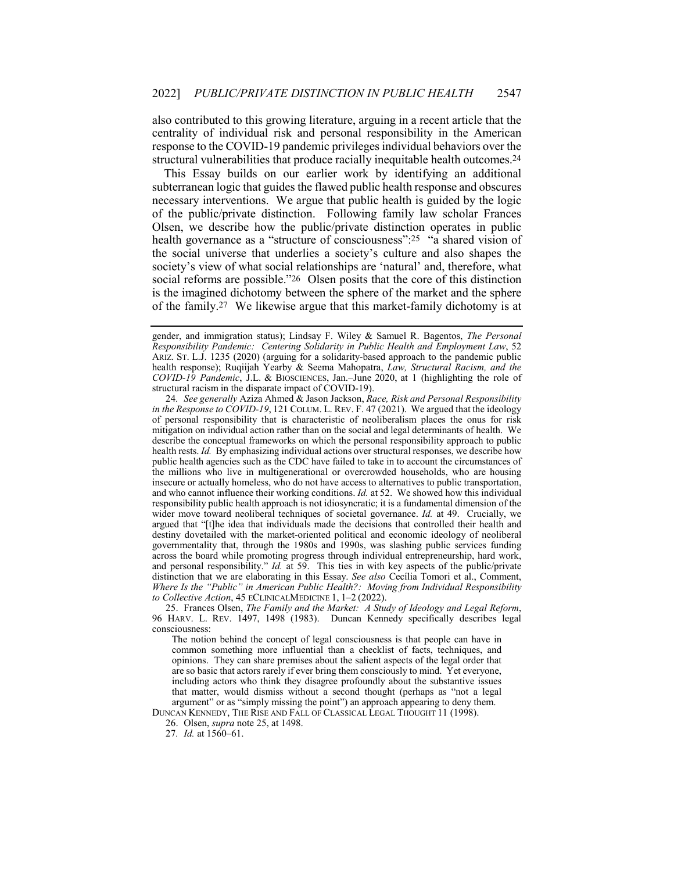also contributed to this growing literature, arguing in a recent article that the centrality of individual risk and personal responsibility in the American response to the COVID-19 pandemic privileges individual behaviors over the structural vulnerabilities that produce racially inequitable health outcomes.24

This Essay builds on our earlier work by identifying an additional subterranean logic that guides the flawed public health response and obscures necessary interventions. We argue that public health is guided by the logic of the public/private distinction. Following family law scholar Frances Olsen, we describe how the public/private distinction operates in public health governance as a "structure of consciousness": 25 "a shared vision of the social universe that underlies a society's culture and also shapes the society's view of what social relationships are 'natural' and, therefore, what social reforms are possible."26 Olsen posits that the core of this distinction is the imagined dichotomy between the sphere of the market and the sphere of the family.27 We likewise argue that this market-family dichotomy is at

24*. See generally* Aziza Ahmed & Jason Jackson, *Race, Risk and Personal Responsibility in the Response to COVID-19*, 121 COLUM. L. REV. F. 47 (2021). We argued that the ideology of personal responsibility that is characteristic of neoliberalism places the onus for risk mitigation on individual action rather than on the social and legal determinants of health. We describe the conceptual frameworks on which the personal responsibility approach to public health rests. *Id.* By emphasizing individual actions over structural responses, we describe how public health agencies such as the CDC have failed to take in to account the circumstances of the millions who live in multigenerational or overcrowded households, who are housing insecure or actually homeless, who do not have access to alternatives to public transportation, and who cannot influence their working conditions. *Id.* at 52. We showed how this individual responsibility public health approach is not idiosyncratic; it is a fundamental dimension of the wider move toward neoliberal techniques of societal governance. *Id.* at 49. Crucially, we argued that "[t]he idea that individuals made the decisions that controlled their health and destiny dovetailed with the market-oriented political and economic ideology of neoliberal governmentality that, through the 1980s and 1990s, was slashing public services funding across the board while promoting progress through individual entrepreneurship, hard work, and personal responsibility." *Id.* at 59. This ties in with key aspects of the public/private distinction that we are elaborating in this Essay. *See also* Cecília Tomori et al., Comment, *Where Is the "Public" in American Public Health?: Moving from Individual Responsibility to Collective Action*, 45 ECLINICALMEDICINE 1, 1–2 (2022).

25. Frances Olsen, *The Family and the Market: A Study of Ideology and Legal Reform*, 96 HARV. L. REV. 1497, 1498 (1983). Duncan Kennedy specifically describes legal consciousness:

The notion behind the concept of legal consciousness is that people can have in common something more influential than a checklist of facts, techniques, and opinions. They can share premises about the salient aspects of the legal order that are so basic that actors rarely if ever bring them consciously to mind. Yet everyone, including actors who think they disagree profoundly about the substantive issues that matter, would dismiss without a second thought (perhaps as "not a legal argument" or as "simply missing the point") an approach appearing to deny them.

DUNCAN KENNEDY, THE RISE AND FALL OF CLASSICAL LEGAL THOUGHT 11 (1998).

26. Olsen, *supra* note 25, at 1498.

27*. Id.* at 1560–61.

gender, and immigration status); Lindsay F. Wiley & Samuel R. Bagentos, *The Personal Responsibility Pandemic: Centering Solidarity in Public Health and Employment Law*, 52 ARIZ. ST. L.J. 1235 (2020) (arguing for a solidarity-based approach to the pandemic public health response); Ruqiijah Yearby & Seema Mahopatra, *Law, Structural Racism, and the COVID-19 Pandemic*, J.L. & BIOSCIENCES, Jan.–June 2020, at 1 (highlighting the role of structural racism in the disparate impact of COVID-19).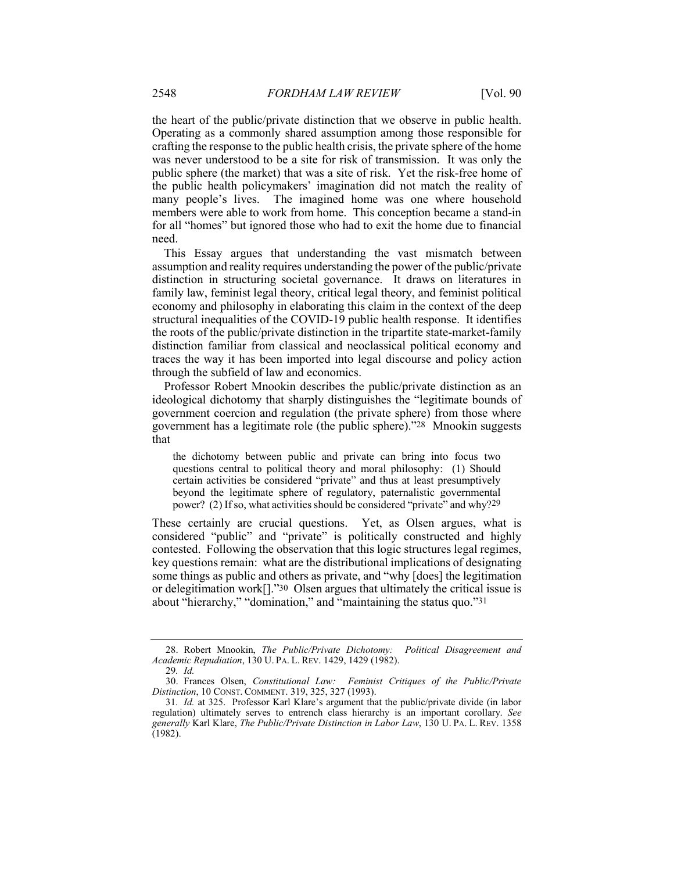the heart of the public/private distinction that we observe in public health. Operating as a commonly shared assumption among those responsible for crafting the response to the public health crisis, the private sphere of the home was never understood to be a site for risk of transmission. It was only the public sphere (the market) that was a site of risk. Yet the risk-free home of the public health policymakers' imagination did not match the reality of many people's lives. The imagined home was one where household members were able to work from home. This conception became a stand-in for all "homes" but ignored those who had to exit the home due to financial need.

This Essay argues that understanding the vast mismatch between assumption and reality requires understanding the power of the public/private distinction in structuring societal governance. It draws on literatures in family law, feminist legal theory, critical legal theory, and feminist political economy and philosophy in elaborating this claim in the context of the deep structural inequalities of the COVID-19 public health response. It identifies the roots of the public/private distinction in the tripartite state-market-family distinction familiar from classical and neoclassical political economy and traces the way it has been imported into legal discourse and policy action through the subfield of law and economics.

Professor Robert Mnookin describes the public/private distinction as an ideological dichotomy that sharply distinguishes the "legitimate bounds of government coercion and regulation (the private sphere) from those where government has a legitimate role (the public sphere)."28 Mnookin suggests that

the dichotomy between public and private can bring into focus two questions central to political theory and moral philosophy: (1) Should certain activities be considered "private" and thus at least presumptively beyond the legitimate sphere of regulatory, paternalistic governmental power? (2) If so, what activities should be considered "private" and why?29

These certainly are crucial questions. Yet, as Olsen argues, what is considered "public" and "private" is politically constructed and highly contested. Following the observation that this logic structures legal regimes, key questions remain: what are the distributional implications of designating some things as public and others as private, and "why [does] the legitimation or delegitimation work[]."30 Olsen argues that ultimately the critical issue is about "hierarchy," "domination," and "maintaining the status quo."31

<sup>28.</sup> Robert Mnookin, *The Public/Private Dichotomy: Political Disagreement and Academic Repudiation*, 130 U. PA. L. REV. 1429, 1429 (1982).

<sup>29</sup>*. Id.*

<sup>30.</sup> Frances Olsen, *Constitutional Law: Feminist Critiques of the Public/Private Distinction*, 10 CONST. COMMENT. 319, 325, 327 (1993).

<sup>31</sup>*. Id.* at 325. Professor Karl Klare's argument that the public/private divide (in labor regulation) ultimately serves to entrench class hierarchy is an important corollary. *See generally* Karl Klare, *The Public/Private Distinction in Labor Law*, 130 U. PA. L. REV. 1358 (1982).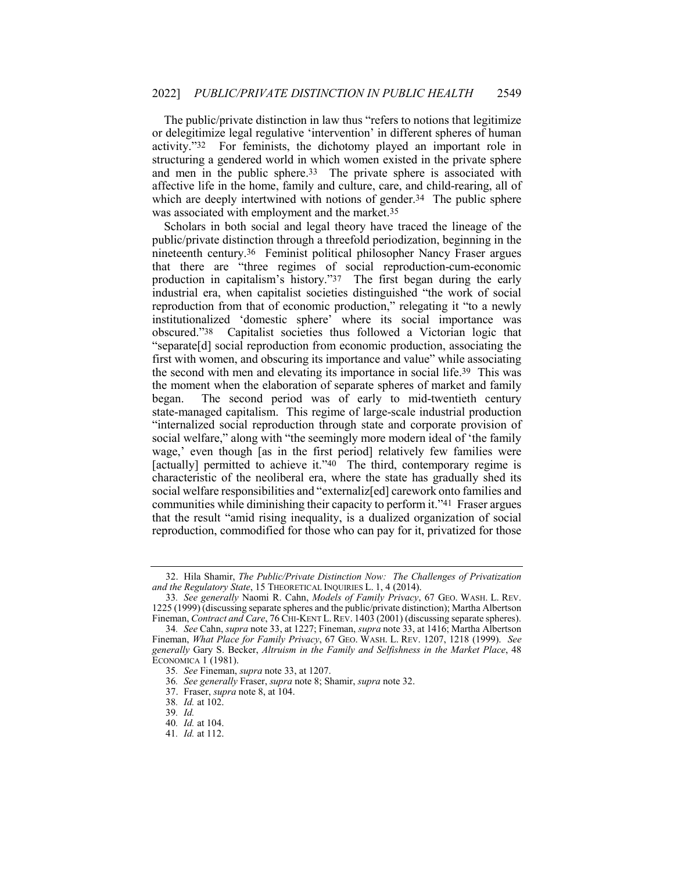The public/private distinction in law thus "refers to notions that legitimize or delegitimize legal regulative 'intervention' in different spheres of human activity."32 For feminists, the dichotomy played an important role in structuring a gendered world in which women existed in the private sphere and men in the public sphere.33 The private sphere is associated with affective life in the home, family and culture, care, and child-rearing, all of which are deeply intertwined with notions of gender.<sup>34</sup> The public sphere was associated with employment and the market.35

Scholars in both social and legal theory have traced the lineage of the public/private distinction through a threefold periodization, beginning in the nineteenth century.36 Feminist political philosopher Nancy Fraser argues that there are "three regimes of social reproduction-cum-economic production in capitalism's history."37 The first began during the early industrial era, when capitalist societies distinguished "the work of social reproduction from that of economic production," relegating it "to a newly institutionalized 'domestic sphere' where its social importance was obscured."38 Capitalist societies thus followed a Victorian logic that "separate[d] social reproduction from economic production, associating the first with women, and obscuring its importance and value" while associating the second with men and elevating its importance in social life.39 This was the moment when the elaboration of separate spheres of market and family began. The second period was of early to mid-twentieth century state-managed capitalism. This regime of large-scale industrial production "internalized social reproduction through state and corporate provision of social welfare," along with "the seemingly more modern ideal of 'the family wage,' even though [as in the first period] relatively few families were [actually] permitted to achieve it."40 The third, contemporary regime is characteristic of the neoliberal era, where the state has gradually shed its social welfare responsibilities and "externaliz[ed] carework onto families and communities while diminishing their capacity to perform it."41 Fraser argues that the result "amid rising inequality, is a dualized organization of social reproduction, commodified for those who can pay for it, privatized for those

<sup>32.</sup> Hila Shamir, *The Public/Private Distinction Now: The Challenges of Privatization and the Regulatory State*, 15 THEORETICAL INQUIRIES L. 1, 4 (2014).

<sup>33</sup>*. See generally* Naomi R. Cahn, *Models of Family Privacy*, 67 GEO. WASH. L. REV. 1225 (1999) (discussing separate spheres and the public/private distinction); Martha Albertson Fineman, *Contract and Care*, 76 CHI-KENT L. REV. 1403 (2001) (discussing separate spheres).

<sup>34</sup>*. See* Cahn, *supra* note 33, at 1227; Fineman, *supra* note 33, at 1416; Martha Albertson Fineman, *What Place for Family Privacy*, 67 GEO. WASH. L. REV. 1207, 1218 (1999). *See generally* Gary S. Becker, *Altruism in the Family and Selfishness in the Market Place*, 48 ECONOMICA 1 (1981).

<sup>35</sup>*. See* Fineman, *supra* note 33, at 1207.

<sup>36</sup>*. See generally* Fraser, *supra* note 8; Shamir, *supra* note 32.

<sup>37.</sup> Fraser, *supra* note 8, at 104.

<sup>38</sup>*. Id.* at 102.

<sup>39</sup>*. Id.*

<sup>40</sup>*. Id.* at 104.

<sup>41</sup>*. Id.* at 112.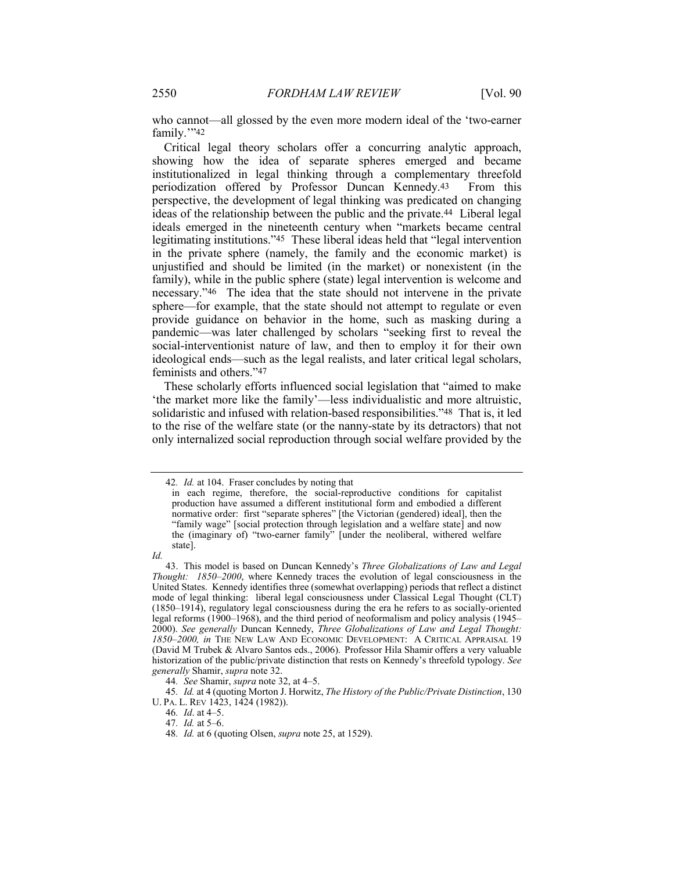who cannot—all glossed by the even more modern ideal of the 'two-earner family."<sup>42</sup>

Critical legal theory scholars offer a concurring analytic approach, showing how the idea of separate spheres emerged and became institutionalized in legal thinking through a complementary threefold periodization offered by Professor Duncan Kennedy.43 From this perspective, the development of legal thinking was predicated on changing ideas of the relationship between the public and the private.44 Liberal legal ideals emerged in the nineteenth century when "markets became central legitimating institutions."45 These liberal ideas held that "legal intervention in the private sphere (namely, the family and the economic market) is unjustified and should be limited (in the market) or nonexistent (in the family), while in the public sphere (state) legal intervention is welcome and necessary."46 The idea that the state should not intervene in the private sphere—for example, that the state should not attempt to regulate or even provide guidance on behavior in the home, such as masking during a pandemic—was later challenged by scholars "seeking first to reveal the social-interventionist nature of law, and then to employ it for their own ideological ends—such as the legal realists, and later critical legal scholars, feminists and others."47

These scholarly efforts influenced social legislation that "aimed to make 'the market more like the family'—less individualistic and more altruistic, solidaristic and infused with relation-based responsibilities."48 That is, it led to the rise of the welfare state (or the nanny-state by its detractors) that not only internalized social reproduction through social welfare provided by the

<sup>42</sup>*. Id.* at 104. Fraser concludes by noting that

in each regime, therefore, the social-reproductive conditions for capitalist production have assumed a different institutional form and embodied a different normative order: first "separate spheres" [the Victorian (gendered) ideal], then the "family wage" [social protection through legislation and a welfare state] and now the (imaginary of) "two-earner family" [under the neoliberal, withered welfare state].

*Id.*

<sup>43.</sup> This model is based on Duncan Kennedy's *Three Globalizations of Law and Legal Thought: 1850–2000*, where Kennedy traces the evolution of legal consciousness in the United States. Kennedy identifies three (somewhat overlapping) periods that reflect a distinct mode of legal thinking: liberal legal consciousness under Classical Legal Thought (CLT) (1850–1914), regulatory legal consciousness during the era he refers to as socially-oriented legal reforms (1900–1968), and the third period of neoformalism and policy analysis (1945– 2000). *See generally* Duncan Kennedy, *Three Globalizations of Law and Legal Thought: 1850–2000, in* THE NEW LAW AND ECONOMIC DEVELOPMENT: A CRITICAL APPRAISAL 19 (David M Trubek & Alvaro Santos eds., 2006). Professor Hila Shamir offers a very valuable historization of the public/private distinction that rests on Kennedy's threefold typology. *See generally* Shamir, *supra* note 32.

<sup>44</sup>*. See* Shamir, *supra* note 32, at 4–5.

<sup>45</sup>*. Id.* at 4 (quoting Morton J. Horwitz, *The History of the Public/Private Distinction*, 130 U. PA. L. REV 1423, 1424 (1982)).

<sup>46</sup>*. Id*. at 4–5.

<sup>47</sup>*. Id.* at 5–6.

<sup>48</sup>*. Id.* at 6 (quoting Olsen, *supra* note 25, at 1529).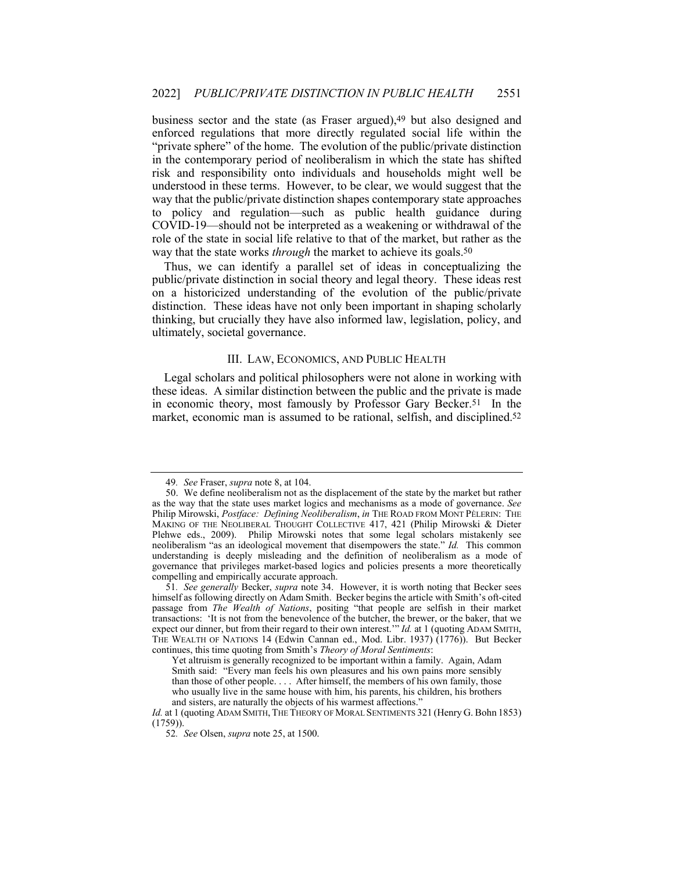business sector and the state (as Fraser argued),<sup>49</sup> but also designed and enforced regulations that more directly regulated social life within the "private sphere" of the home. The evolution of the public/private distinction in the contemporary period of neoliberalism in which the state has shifted risk and responsibility onto individuals and households might well be understood in these terms. However, to be clear, we would suggest that the way that the public/private distinction shapes contemporary state approaches to policy and regulation—such as public health guidance during COVID-19—should not be interpreted as a weakening or withdrawal of the role of the state in social life relative to that of the market, but rather as the way that the state works *through* the market to achieve its goals.50

Thus, we can identify a parallel set of ideas in conceptualizing the public/private distinction in social theory and legal theory. These ideas rest on a historicized understanding of the evolution of the public/private distinction. These ideas have not only been important in shaping scholarly thinking, but crucially they have also informed law, legislation, policy, and ultimately, societal governance.

### III. LAW, ECONOMICS, AND PUBLIC HEALTH

Legal scholars and political philosophers were not alone in working with these ideas. A similar distinction between the public and the private is made in economic theory, most famously by Professor Gary Becker.51 In the market, economic man is assumed to be rational, selfish, and disciplined.52

<sup>49</sup>*. See* Fraser, *supra* note 8, at 104.

<sup>50.</sup> We define neoliberalism not as the displacement of the state by the market but rather as the way that the state uses market logics and mechanisms as a mode of governance. *See* Philip Mirowski, *Postface: Defining Neoliberalism*, *in* THE ROAD FROM MONT PÈLERIN: THE MAKING OF THE NEOLIBERAL THOUGHT COLLECTIVE 417, 421 (Philip Mirowski & Dieter Plehwe eds., 2009). Philip Mirowski notes that some legal scholars mistakenly see neoliberalism "as an ideological movement that disempowers the state." *Id.* This common understanding is deeply misleading and the definition of neoliberalism as a mode of governance that privileges market-based logics and policies presents a more theoretically compelling and empirically accurate approach.

<sup>51</sup>*. See generally* Becker, *supra* note 34. However, it is worth noting that Becker sees himself as following directly on Adam Smith. Becker begins the article with Smith's oft-cited passage from *The Wealth of Nations*, positing "that people are selfish in their market transactions: 'It is not from the benevolence of the butcher, the brewer, or the baker, that we expect our dinner, but from their regard to their own interest.'" *Id.* at 1 (quoting ADAM SMITH, THE WEALTH OF NATIONS 14 (Edwin Cannan ed., Mod. Libr. 1937) (1776)). But Becker continues, this time quoting from Smith's *Theory of Moral Sentiments*:

Yet altruism is generally recognized to be important within a family. Again, Adam Smith said: "Every man feels his own pleasures and his own pains more sensibly than those of other people. . . . After himself, the members of his own family, those who usually live in the same house with him, his parents, his children, his brothers and sisters, are naturally the objects of his warmest affections."

*Id.* at 1 (quoting ADAM SMITH, THE THEORY OF MORAL SENTIMENTS 321 (Henry G. Bohn 1853) (1759)).

<sup>52</sup>*. See* Olsen, *supra* note 25, at 1500.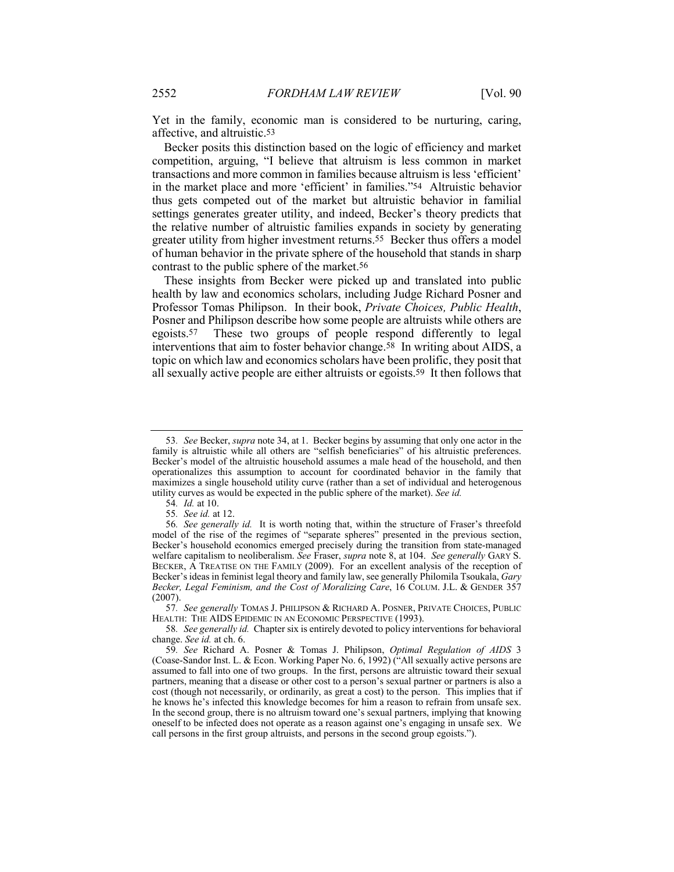Yet in the family, economic man is considered to be nurturing, caring, affective, and altruistic.53

Becker posits this distinction based on the logic of efficiency and market competition, arguing, "I believe that altruism is less common in market transactions and more common in families because altruism is less 'efficient' in the market place and more 'efficient' in families."54 Altruistic behavior thus gets competed out of the market but altruistic behavior in familial settings generates greater utility, and indeed, Becker's theory predicts that the relative number of altruistic families expands in society by generating greater utility from higher investment returns.55 Becker thus offers a model of human behavior in the private sphere of the household that stands in sharp contrast to the public sphere of the market.56

These insights from Becker were picked up and translated into public health by law and economics scholars, including Judge Richard Posner and Professor Tomas Philipson. In their book, *Private Choices, Public Health*, Posner and Philipson describe how some people are altruists while others are egoists.57 These two groups of people respond differently to legal interventions that aim to foster behavior change.58 In writing about AIDS, a topic on which law and economics scholars have been prolific, they posit that all sexually active people are either altruists or egoists.59 It then follows that

57*. See generally* TOMAS J. PHILIPSON & RICHARD A. POSNER, PRIVATE CHOICES, PUBLIC HEALTH: THE AIDS EPIDEMIC IN AN ECONOMIC PERSPECTIVE (1993).

58*. See generally id.* Chapter six is entirely devoted to policy interventions for behavioral change. *See id.* at ch. 6.

<sup>53</sup>*. See* Becker, *supra* note 34, at 1. Becker begins by assuming that only one actor in the family is altruistic while all others are "selfish beneficiaries" of his altruistic preferences. Becker's model of the altruistic household assumes a male head of the household, and then operationalizes this assumption to account for coordinated behavior in the family that maximizes a single household utility curve (rather than a set of individual and heterogenous utility curves as would be expected in the public sphere of the market). *See id.*

<sup>54</sup>*. Id.* at 10.

<sup>55</sup>*. See id.* at 12.

<sup>56</sup>*. See generally id.* It is worth noting that, within the structure of Fraser's threefold model of the rise of the regimes of "separate spheres" presented in the previous section, Becker's household economics emerged precisely during the transition from state-managed welfare capitalism to neoliberalism. *See* Fraser, *supra* note 8, at 104. *See generally* GARY S. BECKER, A TREATISE ON THE FAMILY (2009). For an excellent analysis of the reception of Becker's ideas in feminist legal theory and family law, see generally Philomila Tsoukala, *Gary Becker, Legal Feminism, and the Cost of Moralizing Care*, 16 COLUM. J.L. & GENDER 357  $(2007)$ 

<sup>59</sup>*. See* Richard A. Posner & Tomas J. Philipson, *Optimal Regulation of AIDS* 3 (Coase-Sandor Inst. L. & Econ. Working Paper No. 6, 1992) ("All sexually active persons are assumed to fall into one of two groups. In the first, persons are altruistic toward their sexual partners, meaning that a disease or other cost to a person's sexual partner or partners is also a cost (though not necessarily, or ordinarily, as great a cost) to the person. This implies that if he knows he's infected this knowledge becomes for him a reason to refrain from unsafe sex. In the second group, there is no altruism toward one's sexual partners, implying that knowing oneself to be infected does not operate as a reason against one's engaging in unsafe sex. We call persons in the first group altruists, and persons in the second group egoists.").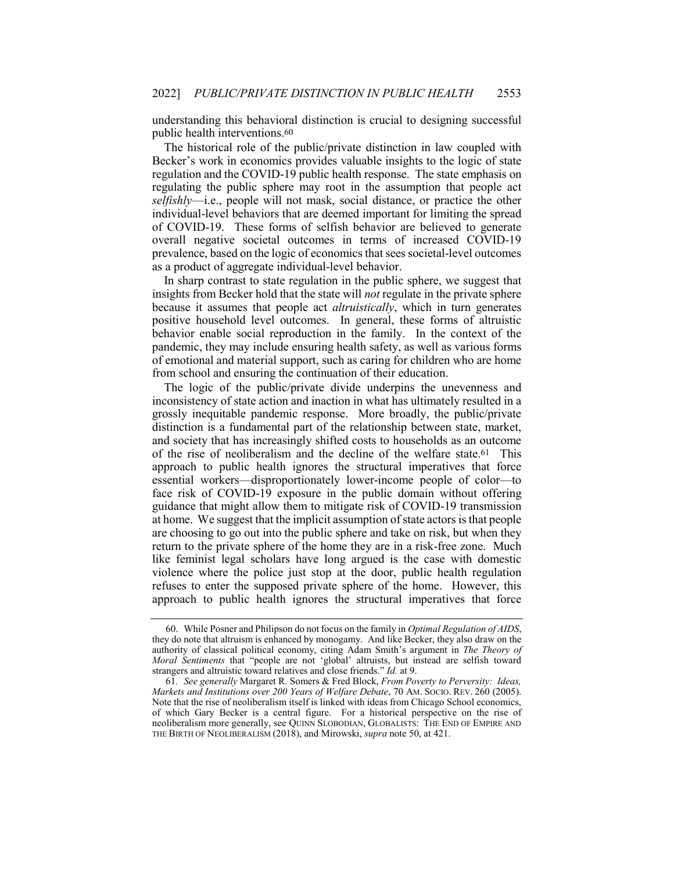understanding this behavioral distinction is crucial to designing successful public health interventions.60

The historical role of the public/private distinction in law coupled with Becker's work in economics provides valuable insights to the logic of state regulation and the COVID-19 public health response. The state emphasis on regulating the public sphere may root in the assumption that people act *selfishly*—i.e., people will not mask, social distance, or practice the other individual-level behaviors that are deemed important for limiting the spread of COVID-19. These forms of selfish behavior are believed to generate overall negative societal outcomes in terms of increased COVID-19 prevalence, based on the logic of economics that sees societal-level outcomes as a product of aggregate individual-level behavior.

In sharp contrast to state regulation in the public sphere, we suggest that insights from Becker hold that the state will *not* regulate in the private sphere because it assumes that people act *altruistically*, which in turn generates positive household level outcomes. In general, these forms of altruistic behavior enable social reproduction in the family. In the context of the pandemic, they may include ensuring health safety, as well as various forms of emotional and material support, such as caring for children who are home from school and ensuring the continuation of their education.

The logic of the public/private divide underpins the unevenness and inconsistency of state action and inaction in what has ultimately resulted in a grossly inequitable pandemic response. More broadly, the public/private distinction is a fundamental part of the relationship between state, market, and society that has increasingly shifted costs to households as an outcome of the rise of neoliberalism and the decline of the welfare state.61 This approach to public health ignores the structural imperatives that force essential workers—disproportionately lower-income people of color—to face risk of COVID-19 exposure in the public domain without offering guidance that might allow them to mitigate risk of COVID-19 transmission at home. We suggest that the implicit assumption of state actors is that people are choosing to go out into the public sphere and take on risk, but when they return to the private sphere of the home they are in a risk-free zone. Much like feminist legal scholars have long argued is the case with domestic violence where the police just stop at the door, public health regulation refuses to enter the supposed private sphere of the home. However, this approach to public health ignores the structural imperatives that force

<sup>60.</sup> While Posner and Philipson do not focus on the family in *Optimal Regulation of AIDS*, they do note that altruism is enhanced by monogamy. And like Becker, they also draw on the authority of classical political economy, citing Adam Smith's argument in *The Theory of Moral Sentiments* that "people are not 'global' altruists, but instead are selfish toward strangers and altruistic toward relatives and close friends." *Id.* at 9.

<sup>61</sup>*. See generally* Margaret R. Somers & Fred Block, *From Poverty to Perversity: Ideas, Markets and Institutions over 200 Years of Welfare Debate*, 70 AM. SOCIO. REV. 260 (2005). Note that the rise of neoliberalism itself is linked with ideas from Chicago School economics, of which Gary Becker is a central figure. For a historical perspective on the rise of neoliberalism more generally, see QUINN SLOBODIAN, GLOBALISTS: THE END OF EMPIRE AND THE BIRTH OF NEOLIBERALISM (2018), and Mirowski, *supra* note 50, at 421.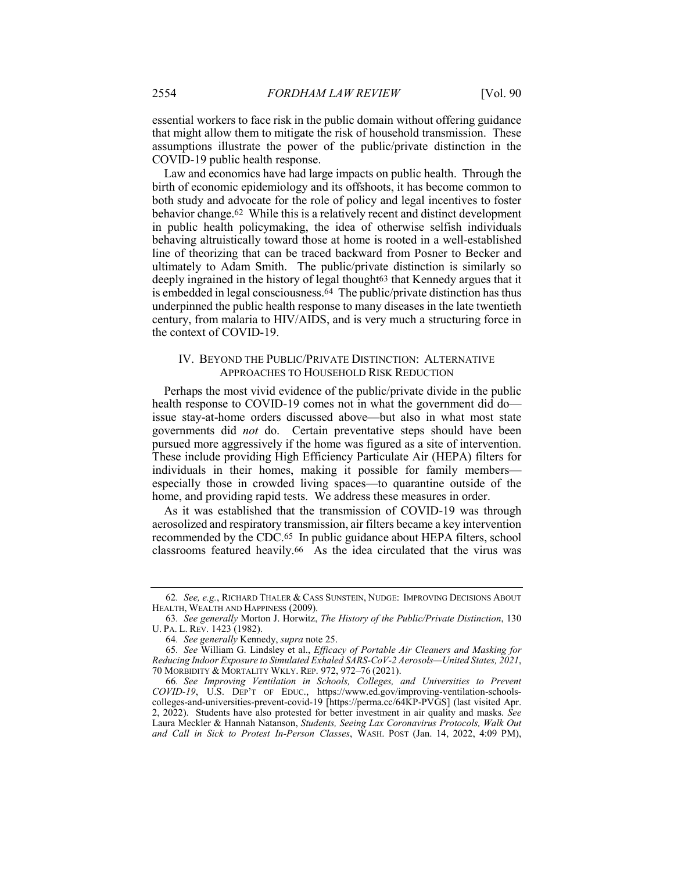essential workers to face risk in the public domain without offering guidance that might allow them to mitigate the risk of household transmission. These assumptions illustrate the power of the public/private distinction in the COVID-19 public health response.

Law and economics have had large impacts on public health. Through the birth of economic epidemiology and its offshoots, it has become common to both study and advocate for the role of policy and legal incentives to foster behavior change.62 While this is a relatively recent and distinct development in public health policymaking, the idea of otherwise selfish individuals behaving altruistically toward those at home is rooted in a well-established line of theorizing that can be traced backward from Posner to Becker and ultimately to Adam Smith. The public/private distinction is similarly so deeply ingrained in the history of legal thought<sup>63</sup> that Kennedy argues that it is embedded in legal consciousness.64 The public/private distinction has thus underpinned the public health response to many diseases in the late twentieth century, from malaria to HIV/AIDS, and is very much a structuring force in the context of COVID-19.

## IV. BEYOND THE PUBLIC/PRIVATE DISTINCTION: ALTERNATIVE APPROACHES TO HOUSEHOLD RISK REDUCTION

Perhaps the most vivid evidence of the public/private divide in the public health response to COVID-19 comes not in what the government did do issue stay-at-home orders discussed above—but also in what most state governments did *not* do. Certain preventative steps should have been pursued more aggressively if the home was figured as a site of intervention. These include providing High Efficiency Particulate Air (HEPA) filters for individuals in their homes, making it possible for family members especially those in crowded living spaces—to quarantine outside of the home, and providing rapid tests. We address these measures in order.

As it was established that the transmission of COVID-19 was through aerosolized and respiratory transmission, air filters became a key intervention recommended by the CDC.65 In public guidance about HEPA filters, school classrooms featured heavily.66 As the idea circulated that the virus was

<sup>62</sup>*. See, e.g.*, RICHARD THALER & CASS SUNSTEIN, NUDGE: IMPROVING DECISIONS ABOUT HEALTH, WEALTH AND HAPPINESS (2009).

<sup>63</sup>*. See generally* Morton J. Horwitz, *The History of the Public/Private Distinction*, 130 U. PA. L. REV. 1423 (1982).

<sup>64</sup>*. See generally* Kennedy, *supra* note 25.

<sup>65</sup>*. See* William G. Lindsley et al., *Efficacy of Portable Air Cleaners and Masking for Reducing Indoor Exposure to Simulated Exhaled SARS-CoV-2 Aerosols—United States, 2021*, 70 MORBIDITY & MORTALITY WKLY. REP. 972, 972–76 (2021).

<sup>66</sup>*. See Improving Ventilation in Schools, Colleges, and Universities to Prevent COVID-19*, U.S. DEP'T OF EDUC., https://www.ed.gov/improving-ventilation-schoolscolleges-and-universities-prevent-covid-19 [https://perma.cc/64KP-PVGS] (last visited Apr. 2, 2022). Students have also protested for better investment in air quality and masks. *See* Laura Meckler & Hannah Natanson, *Students, Seeing Lax Coronavirus Protocols, Walk Out and Call in Sick to Protest In-Person Classes*, WASH. POST (Jan. 14, 2022, 4:09 PM),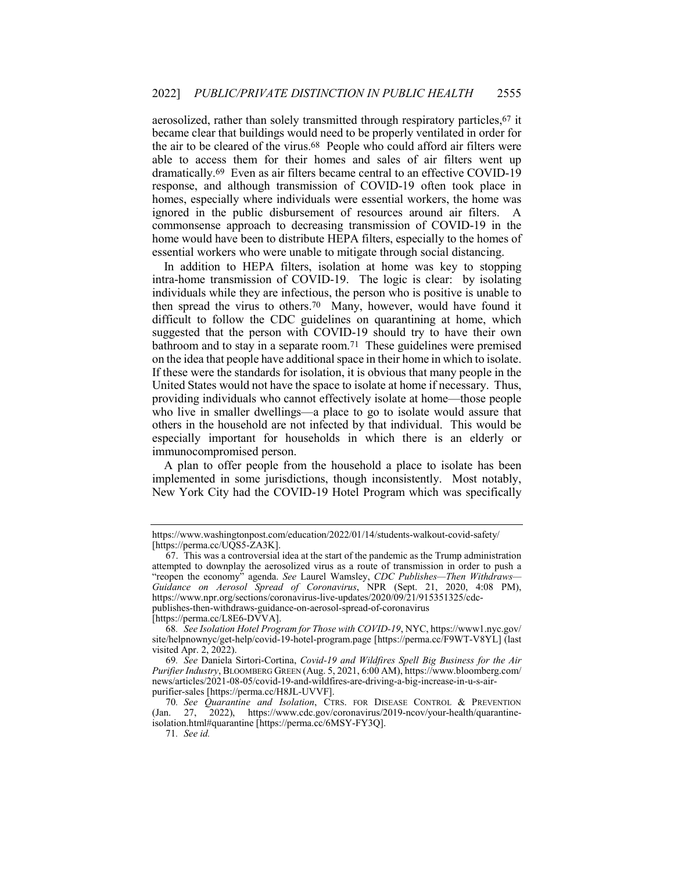aerosolized, rather than solely transmitted through respiratory particles,67 it became clear that buildings would need to be properly ventilated in order for the air to be cleared of the virus.68 People who could afford air filters were able to access them for their homes and sales of air filters went up dramatically.69 Even as air filters became central to an effective COVID-19 response, and although transmission of COVID-19 often took place in homes, especially where individuals were essential workers, the home was ignored in the public disbursement of resources around air filters. A commonsense approach to decreasing transmission of COVID-19 in the home would have been to distribute HEPA filters, especially to the homes of essential workers who were unable to mitigate through social distancing.

In addition to HEPA filters, isolation at home was key to stopping intra-home transmission of COVID-19. The logic is clear: by isolating individuals while they are infectious, the person who is positive is unable to then spread the virus to others.70 Many, however, would have found it difficult to follow the CDC guidelines on quarantining at home, which suggested that the person with COVID-19 should try to have their own bathroom and to stay in a separate room.71 These guidelines were premised on the idea that people have additional space in their home in which to isolate. If these were the standards for isolation, it is obvious that many people in the United States would not have the space to isolate at home if necessary. Thus, providing individuals who cannot effectively isolate at home—those people who live in smaller dwellings—a place to go to isolate would assure that others in the household are not infected by that individual. This would be especially important for households in which there is an elderly or immunocompromised person.

A plan to offer people from the household a place to isolate has been implemented in some jurisdictions, though inconsistently. Most notably, New York City had the COVID-19 Hotel Program which was specifically

https://www.washingtonpost.com/education/2022/01/14/students-walkout-covid-safety/ [https://perma.cc/UQS5-ZA3K].

<sup>67.</sup> This was a controversial idea at the start of the pandemic as the Trump administration attempted to downplay the aerosolized virus as a route of transmission in order to push a "reopen the economy" agenda. *See* Laurel Wamsley, *CDC Publishes—Then Withdraws— Guidance on Aerosol Spread of Coronavirus*, NPR (Sept. 21, 2020, 4:08 PM), https://www.npr.org/sections/coronavirus-live-updates/2020/09/21/915351325/cdcpublishes-then-withdraws-guidance-on-aerosol-spread-of-coronavirus [https://perma.cc/L8E6-DVVA].

<sup>68</sup>*. See Isolation Hotel Program for Those with COVID-19*, NYC, https://www1.nyc.gov/ site/helpnownyc/get-help/covid-19-hotel-program.page [https://perma.cc/F9WT-V8YL] (last visited Apr. 2, 2022).

<sup>69</sup>*. See* Daniela Sirtori-Cortina, *Covid-19 and Wildfires Spell Big Business for the Air Purifier Industry*, BLOOMBERG GREEN (Aug. 5, 2021, 6:00 AM), https://www.bloomberg.com/ news/articles/2021-08-05/covid-19-and-wildfires-are-driving-a-big-increase-in-u-s-airpurifier-sales [https://perma.cc/H8JL-UVVF].

<sup>70</sup>*. See Quarantine and Isolation*, CTRS. FOR DISEASE CONTROL & PREVENTION (Jan. 27, 2022), https://www.cdc.gov/coronavirus/2019-ncov/your-health/quarantineisolation.html#quarantine [https://perma.cc/6MSY-FY3Q].

<sup>71</sup>*. See id.*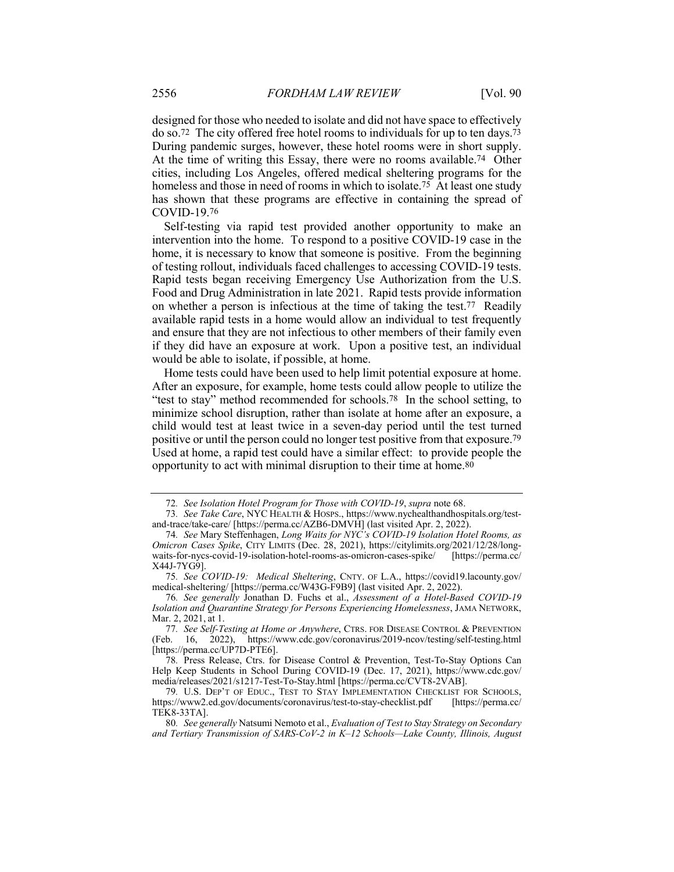designed for those who needed to isolate and did not have space to effectively do so.72 The city offered free hotel rooms to individuals for up to ten days.73 During pandemic surges, however, these hotel rooms were in short supply. At the time of writing this Essay, there were no rooms available.74 Other cities, including Los Angeles, offered medical sheltering programs for the homeless and those in need of rooms in which to isolate.75 At least one study has shown that these programs are effective in containing the spread of COVID-19.76

Self-testing via rapid test provided another opportunity to make an intervention into the home. To respond to a positive COVID-19 case in the home, it is necessary to know that someone is positive. From the beginning of testing rollout, individuals faced challenges to accessing COVID-19 tests. Rapid tests began receiving Emergency Use Authorization from the U.S. Food and Drug Administration in late 2021. Rapid tests provide information on whether a person is infectious at the time of taking the test.77 Readily available rapid tests in a home would allow an individual to test frequently and ensure that they are not infectious to other members of their family even if they did have an exposure at work. Upon a positive test, an individual would be able to isolate, if possible, at home.

Home tests could have been used to help limit potential exposure at home. After an exposure, for example, home tests could allow people to utilize the "test to stay" method recommended for schools.78 In the school setting, to minimize school disruption, rather than isolate at home after an exposure, a child would test at least twice in a seven-day period until the test turned positive or until the person could no longer test positive from that exposure.79 Used at home, a rapid test could have a similar effect: to provide people the opportunity to act with minimal disruption to their time at home.80

<sup>72</sup>*. See Isolation Hotel Program for Those with COVID-19*, *supra* note 68.

<sup>73</sup>*. See Take Care*, NYC HEALTH & HOSPS., https://www.nychealthandhospitals.org/testand-trace/take-care/ [https://perma.cc/AZB6-DMVH] (last visited Apr. 2, 2022).

<sup>74</sup>*. See* Mary Steffenhagen, *Long Waits for NYC's COVID-19 Isolation Hotel Rooms, as Omicron Cases Spike*, CITY LIMITS (Dec. 28, 2021), https://citylimits.org/2021/12/28/longwaits-for-nycs-covid-19-isolation-hotel-rooms-as-omicron-cases-spike/ [https://perma.cc/ X44J-7YG9].

<sup>75</sup>*. See COVID-19: Medical Sheltering*, CNTY. OF L.A., https://covid19.lacounty.gov/ medical-sheltering/ [https://perma.cc/W43G-F9B9] (last visited Apr. 2, 2022).

<sup>76</sup>*. See generally* Jonathan D. Fuchs et al., *Assessment of a Hotel-Based COVID-19 Isolation and Quarantine Strategy for Persons Experiencing Homelessness*, JAMA NETWORK, Mar. 2, 2021, at 1.

<sup>77</sup>*. See Self-Testing at Home or Anywhere*, CTRS. FOR DISEASE CONTROL & PREVENTION (Feb. 16, 2022), https://www.cdc.gov/coronavirus/2019-ncov/testing/self-testing.html [https://perma.cc/UP7D-PTE6].

<sup>78</sup>*.* Press Release, Ctrs. for Disease Control & Prevention, Test-To-Stay Options Can Help Keep Students in School During COVID-19 (Dec. 17, 2021), https://www.cdc.gov/ media/releases/2021/s1217-Test-To-Stay.html [https://perma.cc/CVT8-2VAB].

<sup>79.</sup> U.S. DEP'T OF EDUC., TEST TO STAY IMPLEMENTATION CHECKLIST FOR SCHOOLS,<br>ss://www2.ed.gov/documents/coronavirus/test-to-stay-checklist.pdf [https://perma.cc/ https://www2.ed.gov/documents/coronavirus/test-to-stay-checklist.pdf TEK8-33TA].

<sup>80</sup>*. See generally* Natsumi Nemoto et al., *Evaluation of Test to Stay Strategy on Secondary and Tertiary Transmission of SARS-CoV-2 in K–12 Schools—Lake County, Illinois, August*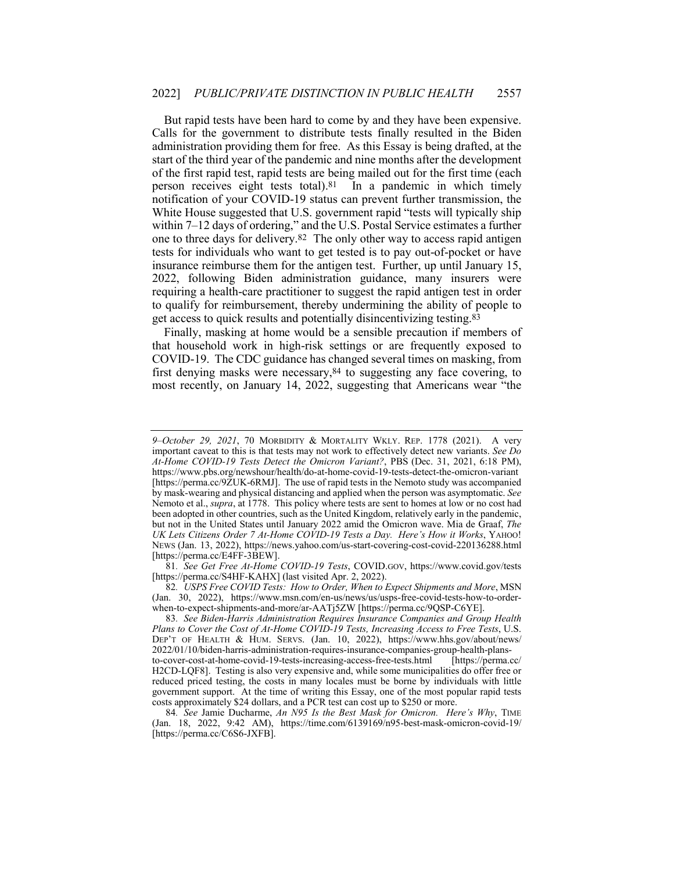But rapid tests have been hard to come by and they have been expensive. Calls for the government to distribute tests finally resulted in the Biden administration providing them for free. As this Essay is being drafted, at the start of the third year of the pandemic and nine months after the development of the first rapid test, rapid tests are being mailed out for the first time (each person receives eight tests total).81 In a pandemic in which timely notification of your COVID-19 status can prevent further transmission, the White House suggested that U.S. government rapid "tests will typically ship within 7–12 days of ordering," and the U.S. Postal Service estimates a further one to three days for delivery.82 The only other way to access rapid antigen tests for individuals who want to get tested is to pay out-of-pocket or have insurance reimburse them for the antigen test. Further, up until January 15, 2022, following Biden administration guidance, many insurers were requiring a health-care practitioner to suggest the rapid antigen test in order to qualify for reimbursement, thereby undermining the ability of people to get access to quick results and potentially disincentivizing testing.83

Finally, masking at home would be a sensible precaution if members of that household work in high-risk settings or are frequently exposed to COVID-19. The CDC guidance has changed several times on masking, from first denying masks were necessary,84 to suggesting any face covering, to most recently, on January 14, 2022, suggesting that Americans wear "the

81*. See Get Free At-Home COVID-19 Tests*, COVID.GOV, https://www.covid.gov/tests [https://perma.cc/S4HF-KAHX] (last visited Apr. 2, 2022).

*<sup>9–</sup>October 29, 2021*, 70 MORBIDITY & MORTALITY WKLY. REP. 1778 (2021). A very important caveat to this is that tests may not work to effectively detect new variants. *See Do At-Home COVID-19 Tests Detect the Omicron Variant?*, PBS (Dec. 31, 2021, 6:18 PM), https://www.pbs.org/newshour/health/do-at-home-covid-19-tests-detect-the-omicron-variant [https://perma.cc/9ZUK-6RMJ]. The use of rapid tests in the Nemoto study was accompanied by mask-wearing and physical distancing and applied when the person was asymptomatic. *See* Nemoto et al., *supra*, at 1778. This policy where tests are sent to homes at low or no cost had been adopted in other countries, such as the United Kingdom, relatively early in the pandemic, but not in the United States until January 2022 amid the Omicron wave. Mia de Graaf, *The UK Lets Citizens Order 7 At-Home COVID-19 Tests a Day. Here's How it Works*, YAHOO! NEWS (Jan. 13, 2022), https://news.yahoo.com/us-start-covering-cost-covid-220136288.html [https://perma.cc/E4FF-3BEW].

<sup>82</sup>*. USPS Free COVID Tests: How to Order, When to Expect Shipments and More*, MSN (Jan. 30, 2022), https://www.msn.com/en-us/news/us/usps-free-covid-tests-how-to-orderwhen-to-expect-shipments-and-more/ar-AATj5ZW [https://perma.cc/9QSP-C6YE].

<sup>83</sup>*. See Biden-Harris Administration Requires Insurance Companies and Group Health Plans to Cover the Cost of At-Home COVID-19 Tests, Increasing Access to Free Tests*, U.S. DEP'T OF HEALTH & HUM. SERVS. (Jan. 10, 2022), https://www.hhs.gov/about/news/ 2022/01/10/biden-harris-administration-requires-insurance-companies-group-health-plansto-cover-cost-at-home-covid-19-tests-increasing-access-free-tests.html [https://perma.cc/ H2CD-LQF8]. Testing is also very expensive and, while some municipalities do offer free or reduced priced testing, the costs in many locales must be borne by individuals with little government support. At the time of writing this Essay, one of the most popular rapid tests costs approximately \$24 dollars, and a PCR test can cost up to \$250 or more.

<sup>84</sup>*. See* Jamie Ducharme, *An N95 Is the Best Mask for Omicron. Here's Why*, TIME (Jan. 18, 2022, 9:42 AM), https://time.com/6139169/n95-best-mask-omicron-covid-19/ [https://perma.cc/C6S6-JXFB].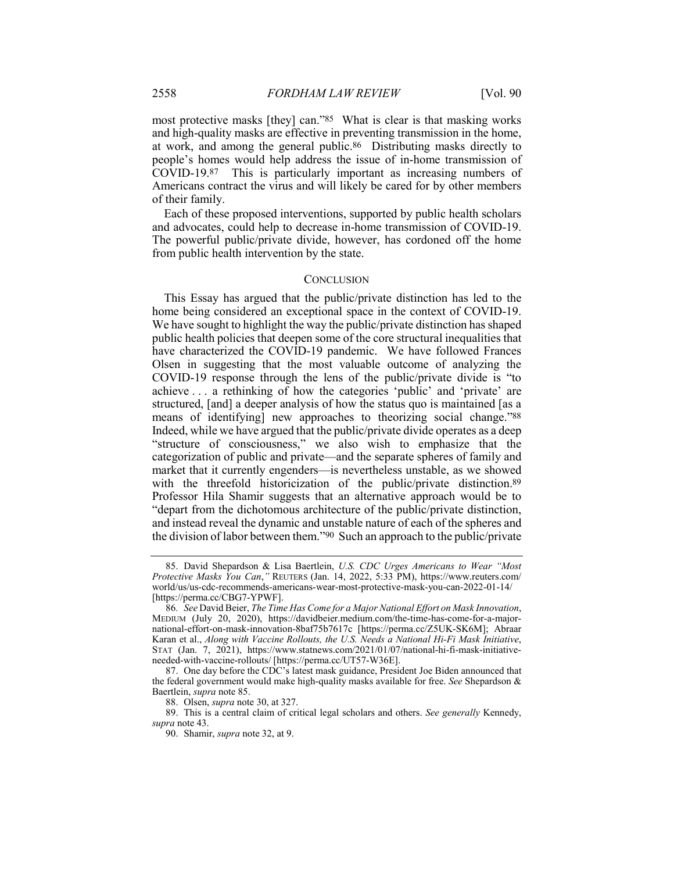most protective masks [they] can."85 What is clear is that masking works and high-quality masks are effective in preventing transmission in the home, at work, and among the general public.86 Distributing masks directly to people's homes would help address the issue of in-home transmission of COVID-19.87 This is particularly important as increasing numbers of Americans contract the virus and will likely be cared for by other members of their family.

Each of these proposed interventions, supported by public health scholars and advocates, could help to decrease in-home transmission of COVID-19. The powerful public/private divide, however, has cordoned off the home from public health intervention by the state.

#### **CONCLUSION**

This Essay has argued that the public/private distinction has led to the home being considered an exceptional space in the context of COVID-19. We have sought to highlight the way the public/private distinction has shaped public health policies that deepen some of the core structural inequalities that have characterized the COVID-19 pandemic. We have followed Frances Olsen in suggesting that the most valuable outcome of analyzing the COVID-19 response through the lens of the public/private divide is "to achieve . . . a rethinking of how the categories 'public' and 'private' are structured, [and] a deeper analysis of how the status quo is maintained [as a means of identifying] new approaches to theorizing social change."88 Indeed, while we have argued that the public/private divide operates as a deep "structure of consciousness," we also wish to emphasize that the categorization of public and private—and the separate spheres of family and market that it currently engenders—is nevertheless unstable, as we showed with the threefold historicization of the public/private distinction.<sup>89</sup> Professor Hila Shamir suggests that an alternative approach would be to "depart from the dichotomous architecture of the public/private distinction, and instead reveal the dynamic and unstable nature of each of the spheres and the division of labor between them."90 Such an approach to the public/private

<sup>85.</sup> David Shepardson & Lisa Baertlein, *U.S. CDC Urges Americans to Wear "Most Protective Masks You Can*,*"* REUTERS (Jan. 14, 2022, 5:33 PM), https://www.reuters.com/ world/us/us-cdc-recommends-americans-wear-most-protective-mask-you-can-2022-01-14/ [https://perma.cc/CBG7-YPWF].

<sup>86</sup>*. See* David Beier, *The Time Has Come for a Major National Effort on Mask Innovation*, MEDIUM (July 20, 2020), https://davidbeier.medium.com/the-time-has-come-for-a-majornational-effort-on-mask-innovation-8baf75b7617c [https://perma.cc/Z5UK-SK6M]; Abraar Karan et al., *Along with Vaccine Rollouts, the U.S. Needs a National Hi-Fi Mask Initiative*, STAT (Jan. 7, 2021), https://www.statnews.com/2021/01/07/national-hi-fi-mask-initiativeneeded-with-vaccine-rollouts/ [https://perma.cc/UT57-W36E].

<sup>87.</sup> One day before the CDC's latest mask guidance, President Joe Biden announced that the federal government would make high-quality masks available for free. *See* Shepardson & Baertlein, *supra* note 85.

<sup>88.</sup> Olsen, *supra* note 30, at 327.

<sup>89.</sup> This is a central claim of critical legal scholars and others. *See generally* Kennedy, *supra* note 43.

<sup>90.</sup> Shamir, *supra* note 32, at 9.